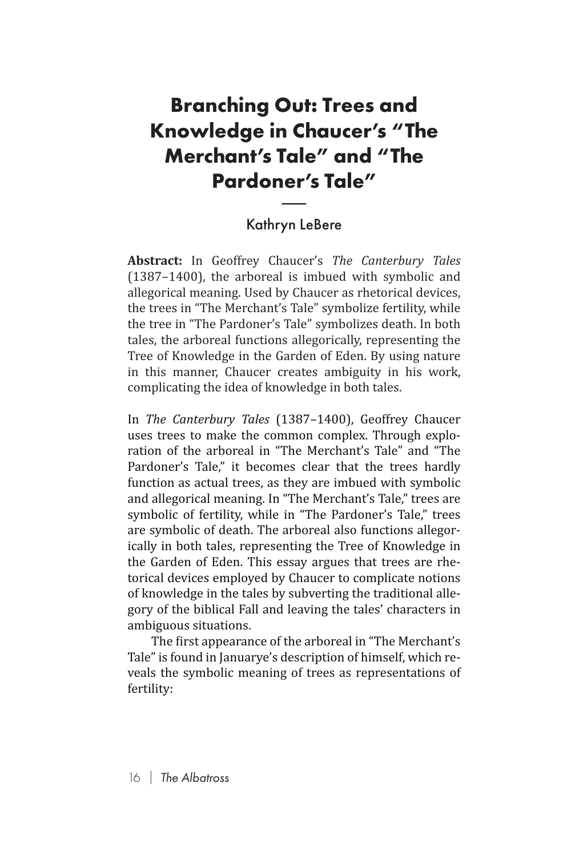## **Branching Out: Trees and Knowledge in Chaucer's "The Merchant's Tale" and "The Pardoner's Tale" n Ch<br>Tale<br>ner':<br>ryn Le**

## Kathryn LeBere

**Abstract:** In Geoffrey Chaucer's *The Canterbury Tales*  (1387–1400), the arboreal is imbued with symbolic and allegorical meaning. Used by Chaucer as rhetorical devices, the trees in "The Merchant's Tale" symbolize fertility, while the tree in "The Pardoner's Tale" symbolizes death. In both tales, the arboreal functions allegorically, representing the Tree of Knowledge in the Garden of Eden. By using nature in this manner, Chaucer creates ambiguity in his work, complicating the idea of knowledge in both tales.

In *The Canterbury Tales* (1387–1400), Geoffrey Chaucer uses trees to make the common complex. Through exploration of the arboreal in "The Merchant's Tale" and "The Pardoner's Tale," it becomes clear that the trees hardly function as actual trees, as they are imbued with symbolic and allegorical meaning. In "The Merchant's Tale," trees are symbolic of fertility, while in "The Pardoner's Tale," trees are symbolic of death. The arboreal also functions allegorically in both tales, representing the Tree of Knowledge in the Garden of Eden. This essay argues that trees are rhetorical devices employed by Chaucer to complicate notions of knowledge in the tales by subverting the traditional allegory of the biblical Fall and leaving the tales' characters in ambiguous situations.

The first appearance of the arboreal in "The Merchant's Tale" is found in Januarye's description of himself, which reveals the symbolic meaning of trees as representations of fertility: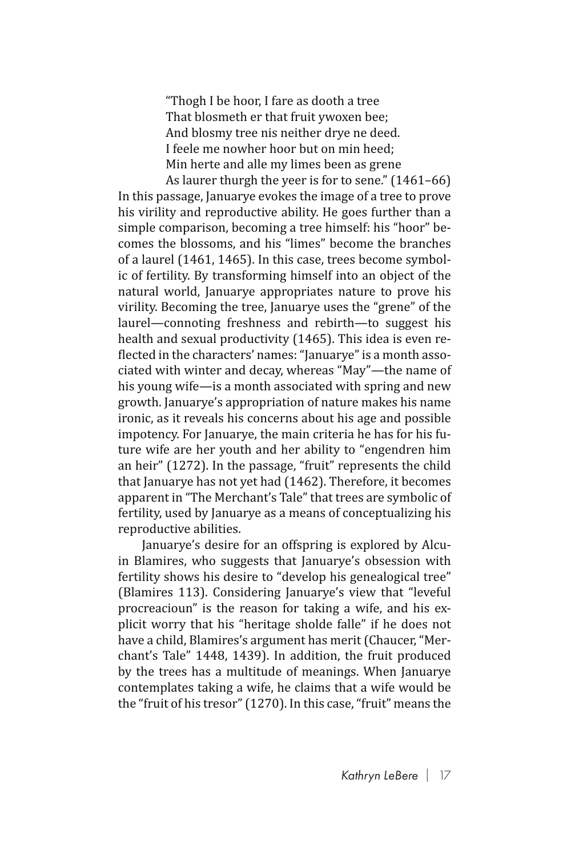"Thogh I be hoor, I fare as dooth a tree That blosmeth er that fruit ywoxen bee; And blosmy tree nis neither drye ne deed. I feele me nowher hoor but on min heed; Min herte and alle my limes been as grene As laurer thurgh the yeer is for to sene." (1461–66)

In this passage, Januarye evokes the image of a tree to prove his virility and reproductive ability. He goes further than a simple comparison, becoming a tree himself: his "hoor" becomes the blossoms, and his "limes" become the branches of a laurel (1461, 1465). In this case, trees become symbolic of fertility. By transforming himself into an object of the natural world, Januarye appropriates nature to prove his virility. Becoming the tree, Januarye uses the "grene" of the laurel—connoting freshness and rebirth—to suggest his health and sexual productivity (1465). This idea is even reflected in the characters' names: "Januarye" is a month associated with winter and decay, whereas "May"—the name of his young wife—is a month associated with spring and new growth. Januarye's appropriation of nature makes his name ironic, as it reveals his concerns about his age and possible impotency. For Januarye, the main criteria he has for his future wife are her youth and her ability to "engendren him an heir" (1272). In the passage, "fruit" represents the child that Januarye has not yet had (1462). Therefore, it becomes apparent in "The Merchant's Tale" that trees are symbolic of fertility, used by Januarye as a means of conceptualizing his reproductive abilities.

Januarye's desire for an offspring is explored by Alcuin Blamires, who suggests that Januarye's obsession with fertility shows his desire to "develop his genealogical tree" (Blamires 113). Considering Januarye's view that "leveful procreacioun" is the reason for taking a wife, and his explicit worry that his "heritage sholde falle" if he does not have a child, Blamires's argument has merit (Chaucer, "Merchant's Tale" 1448, 1439). In addition, the fruit produced by the trees has a multitude of meanings. When Januarye contemplates taking a wife, he claims that a wife would be the "fruit of his tresor" (1270). In this case, "fruit" means the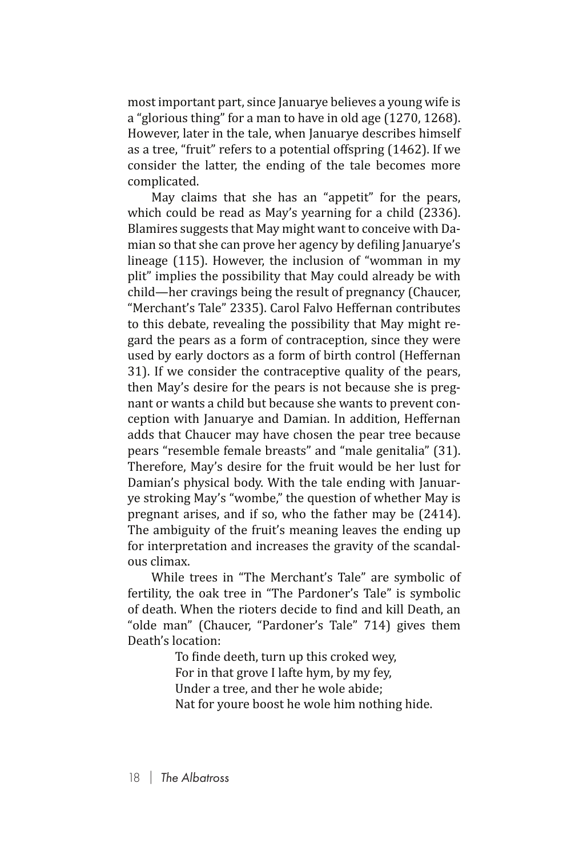most important part, since Januarye believes a young wife is a "glorious thing" for a man to have in old age (1270, 1268). However, later in the tale, when Januarye describes himself as a tree, "fruit" refers to a potential offspring (1462). If we consider the latter, the ending of the tale becomes more complicated.

May claims that she has an "appetit" for the pears, which could be read as May's yearning for a child (2336). Blamires suggests that May might want to conceive with Damian so that she can prove her agency by defiling Januarye's lineage (115). However, the inclusion of "womman in my plit" implies the possibility that May could already be with child—her cravings being the result of pregnancy (Chaucer, "Merchant's Tale" 2335). Carol Falvo Heffernan contributes to this debate, revealing the possibility that May might regard the pears as a form of contraception, since they were used by early doctors as a form of birth control (Heffernan 31). If we consider the contraceptive quality of the pears, then May's desire for the pears is not because she is pregnant or wants a child but because she wants to prevent conception with Januarye and Damian. In addition, Heffernan adds that Chaucer may have chosen the pear tree because pears "resemble female breasts" and "male genitalia" (31). Therefore, May's desire for the fruit would be her lust for Damian's physical body. With the tale ending with Januarye stroking May's "wombe," the question of whether May is pregnant arises, and if so, who the father may be (2414). The ambiguity of the fruit's meaning leaves the ending up for interpretation and increases the gravity of the scandalous climax.

While trees in "The Merchant's Tale" are symbolic of fertility, the oak tree in "The Pardoner's Tale" is symbolic of death. When the rioters decide to find and kill Death, an "olde man" (Chaucer, "Pardoner's Tale" 714) gives them Death's location:

> To finde deeth, turn up this croked wey, For in that grove I lafte hym, by my fey, Under a tree, and ther he wole abide; Nat for youre boost he wole him nothing hide.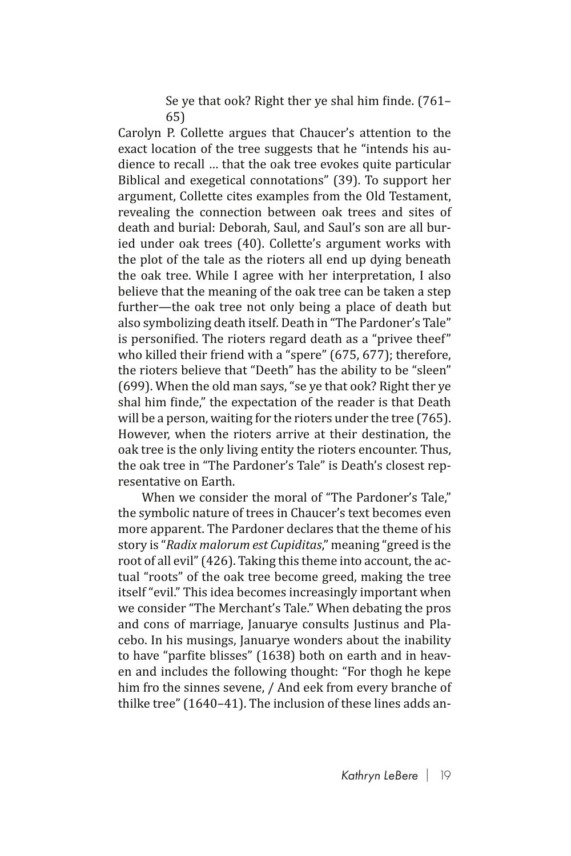Se ye that ook? Right ther ye shal him finde. (761– 65)

Carolyn P. Collette argues that Chaucer's attention to the exact location of the tree suggests that he "intends his audience to recall … that the oak tree evokes quite particular Biblical and exegetical connotations" (39). To support her argument, Collette cites examples from the Old Testament, revealing the connection between oak trees and sites of death and burial: Deborah, Saul, and Saul's son are all buried under oak trees (40). Collette's argument works with the plot of the tale as the rioters all end up dying beneath the oak tree. While I agree with her interpretation, I also believe that the meaning of the oak tree can be taken a step further—the oak tree not only being a place of death but also symbolizing death itself. Death in "The Pardoner's Tale" is personified. The rioters regard death as a "privee theef" who killed their friend with a "spere" (675, 677); therefore, the rioters believe that "Deeth" has the ability to be "sleen" (699). When the old man says, "se ye that ook? Right ther ye shal him finde," the expectation of the reader is that Death will be a person, waiting for the rioters under the tree (765). However, when the rioters arrive at their destination, the oak tree is the only living entity the rioters encounter. Thus, the oak tree in "The Pardoner's Tale" is Death's closest representative on Earth.

When we consider the moral of "The Pardoner's Tale," the symbolic nature of trees in Chaucer's text becomes even more apparent. The Pardoner declares that the theme of his story is "*Radix malorum est Cupiditas*," meaning "greed is the root of all evil" (426). Taking this theme into account, the actual "roots" of the oak tree become greed, making the tree itself "evil." This idea becomes increasingly important when we consider "The Merchant's Tale." When debating the pros and cons of marriage, Januarye consults Justinus and Placebo. In his musings, Januarye wonders about the inability to have "parfite blisses" (1638) both on earth and in heaven and includes the following thought: "For thogh he kepe him fro the sinnes sevene, / And eek from every branche of thilke tree" (1640–41). The inclusion of these lines adds an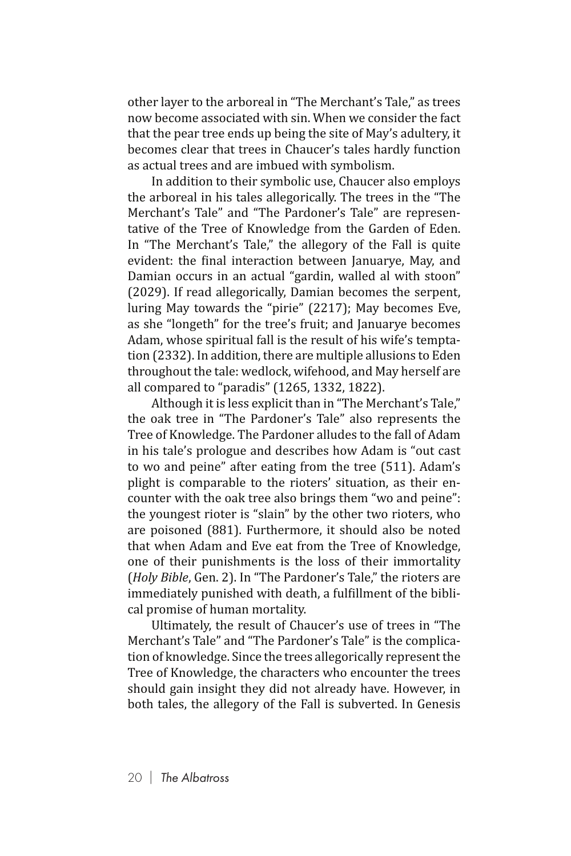other layer to the arboreal in "The Merchant's Tale," as trees now become associated with sin. When we consider the fact that the pear tree ends up being the site of May's adultery, it becomes clear that trees in Chaucer's tales hardly function as actual trees and are imbued with symbolism.

In addition to their symbolic use, Chaucer also employs the arboreal in his tales allegorically. The trees in the "The Merchant's Tale" and "The Pardoner's Tale" are representative of the Tree of Knowledge from the Garden of Eden. In "The Merchant's Tale," the allegory of the Fall is quite evident: the final interaction between Januarye, May, and Damian occurs in an actual "gardin, walled al with stoon" (2029). If read allegorically, Damian becomes the serpent, luring May towards the "pirie" (2217); May becomes Eve, as she "longeth" for the tree's fruit; and Januarye becomes Adam, whose spiritual fall is the result of his wife's temptation (2332). In addition, there are multiple allusions to Eden throughout the tale: wedlock, wifehood, and May herself are all compared to "paradis" (1265, 1332, 1822).

Although it is less explicit than in "The Merchant's Tale," the oak tree in "The Pardoner's Tale" also represents the Tree of Knowledge. The Pardoner alludes to the fall of Adam in his tale's prologue and describes how Adam is "out cast to wo and peine" after eating from the tree (511). Adam's plight is comparable to the rioters' situation, as their encounter with the oak tree also brings them "wo and peine": the youngest rioter is "slain" by the other two rioters, who are poisoned (881). Furthermore, it should also be noted that when Adam and Eve eat from the Tree of Knowledge, one of their punishments is the loss of their immortality (*Holy Bible*, Gen. 2). In "The Pardoner's Tale," the rioters are immediately punished with death, a fulfillment of the biblical promise of human mortality.

Ultimately, the result of Chaucer's use of trees in "The Merchant's Tale" and "The Pardoner's Tale" is the complication of knowledge. Since the trees allegorically represent the Tree of Knowledge, the characters who encounter the trees should gain insight they did not already have. However, in both tales, the allegory of the Fall is subverted. In Genesis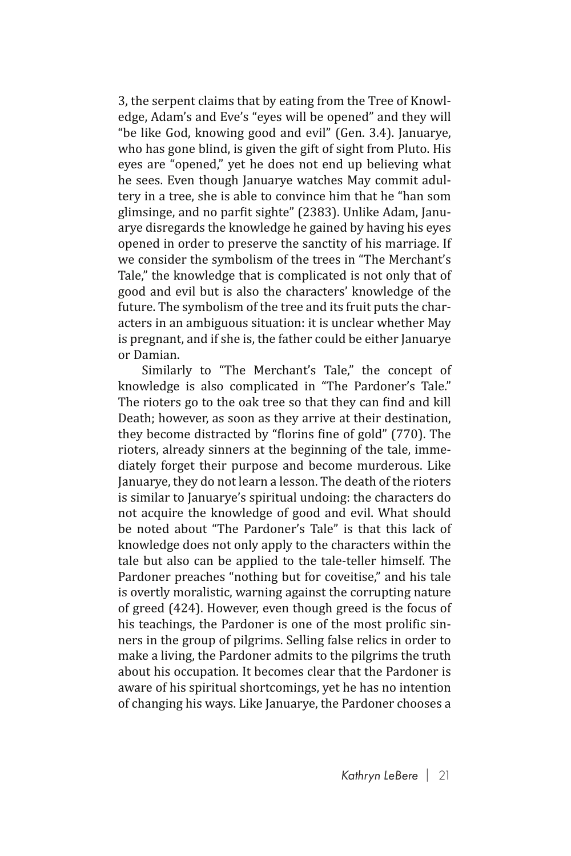3, the serpent claims that by eating from the Tree of Knowledge, Adam's and Eve's "eyes will be opened" and they will "be like God, knowing good and evil" (Gen. 3.4). Januarye, who has gone blind, is given the gift of sight from Pluto. His eyes are "opened," yet he does not end up believing what he sees. Even though Januarye watches May commit adultery in a tree, she is able to convince him that he "han som glimsinge, and no parfit sighte" (2383). Unlike Adam, Januarye disregards the knowledge he gained by having his eyes opened in order to preserve the sanctity of his marriage. If we consider the symbolism of the trees in "The Merchant's Tale," the knowledge that is complicated is not only that of good and evil but is also the characters' knowledge of the future. The symbolism of the tree and its fruit puts the characters in an ambiguous situation: it is unclear whether May is pregnant, and if she is, the father could be either Januarye or Damian.

Similarly to "The Merchant's Tale," the concept of knowledge is also complicated in "The Pardoner's Tale." The rioters go to the oak tree so that they can find and kill Death; however, as soon as they arrive at their destination, they become distracted by "florins fine of gold" (770). The rioters, already sinners at the beginning of the tale, immediately forget their purpose and become murderous. Like Januarye, they do not learn a lesson. The death of the rioters is similar to Januarye's spiritual undoing: the characters do not acquire the knowledge of good and evil. What should be noted about "The Pardoner's Tale" is that this lack of knowledge does not only apply to the characters within the tale but also can be applied to the tale-teller himself. The Pardoner preaches "nothing but for coveitise," and his tale is overtly moralistic, warning against the corrupting nature of greed (424). However, even though greed is the focus of his teachings, the Pardoner is one of the most prolific sinners in the group of pilgrims. Selling false relics in order to make a living, the Pardoner admits to the pilgrims the truth about his occupation. It becomes clear that the Pardoner is aware of his spiritual shortcomings, yet he has no intention of changing his ways. Like Januarye, the Pardoner chooses a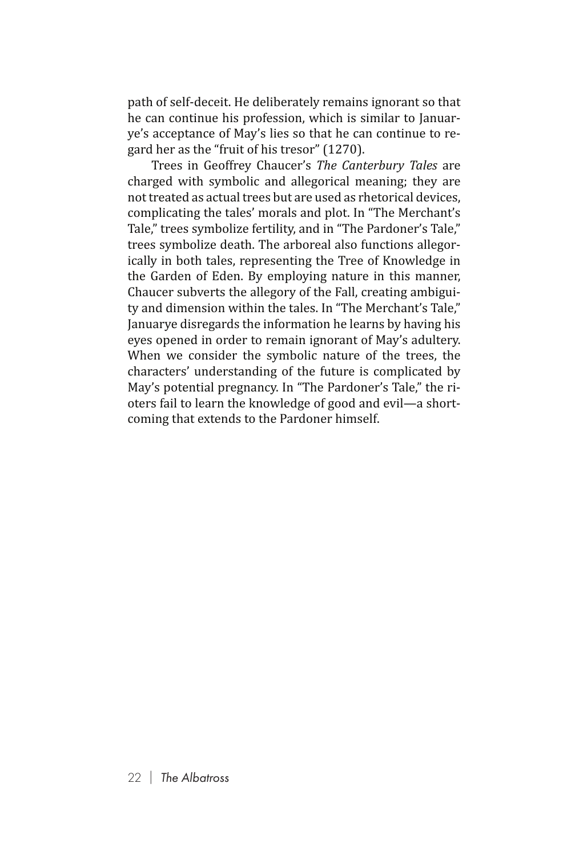path of self-deceit. He deliberately remains ignorant so that he can continue his profession, which is similar to Januarye's acceptance of May's lies so that he can continue to regard her as the "fruit of his tresor" (1270).

Trees in Geoffrey Chaucer's *The Canterbury Tales* are charged with symbolic and allegorical meaning; they are not treated as actual trees but are used as rhetorical devices, complicating the tales' morals and plot. In "The Merchant's Tale," trees symbolize fertility, and in "The Pardoner's Tale," trees symbolize death. The arboreal also functions allegorically in both tales, representing the Tree of Knowledge in the Garden of Eden. By employing nature in this manner, Chaucer subverts the allegory of the Fall, creating ambiguity and dimension within the tales. In "The Merchant's Tale," Januarye disregards the information he learns by having his eyes opened in order to remain ignorant of May's adultery. When we consider the symbolic nature of the trees, the characters' understanding of the future is complicated by May's potential pregnancy. In "The Pardoner's Tale," the rioters fail to learn the knowledge of good and evil—a shortcoming that extends to the Pardoner himself.